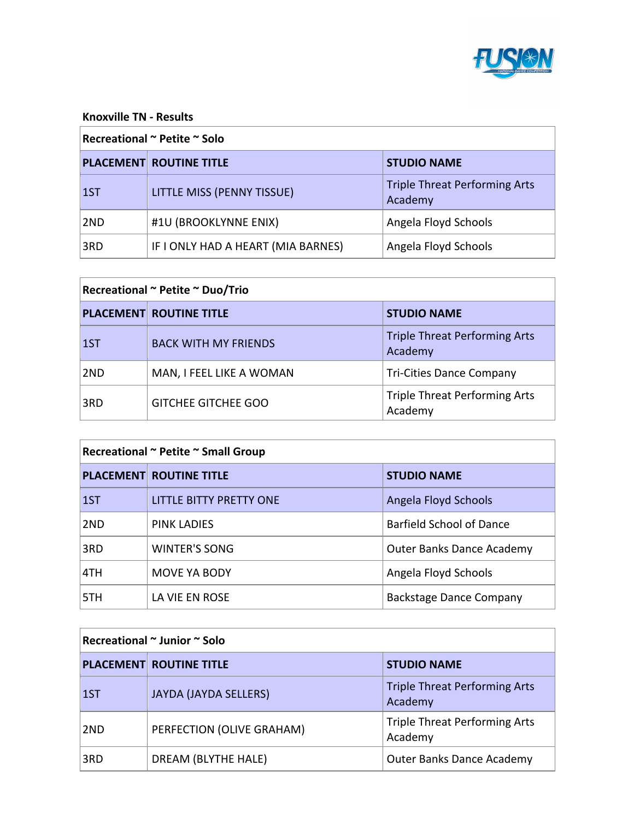

#### **Knoxville TN - Results**

### **Recreational ~ Petite ~ Solo**

|      | <b>PLACEMENT ROUTINE TITLE</b>     | <b>STUDIO NAME</b>                              |
|------|------------------------------------|-------------------------------------------------|
| 1ST  | LITTLE MISS (PENNY TISSUE)         | <b>Triple Threat Performing Arts</b><br>Academy |
| 2ND  | #1U (BROOKLYNNE ENIX)              | Angela Floyd Schools                            |
| ∣3RD | IF I ONLY HAD A HEART (MIA BARNES) | Angela Floyd Schools                            |

| Recreational ~ Petite ~ Duo/Trio |                                |                                                 |
|----------------------------------|--------------------------------|-------------------------------------------------|
|                                  | <b>PLACEMENT ROUTINE TITLE</b> | <b>STUDIO NAME</b>                              |
| 1ST                              | <b>BACK WITH MY FRIENDS</b>    | <b>Triple Threat Performing Arts</b><br>Academy |
| 2ND                              | MAN, I FEEL LIKE A WOMAN       | <b>Tri-Cities Dance Company</b>                 |
| 3RD                              | <b>GITCHEE GITCHEE GOO</b>     | <b>Triple Threat Performing Arts</b><br>Academy |

| Recreational ~ Petite ~ Small Group |                                |                                  |
|-------------------------------------|--------------------------------|----------------------------------|
|                                     | <b>PLACEMENT ROUTINE TITLE</b> | <b>STUDIO NAME</b>               |
| 1ST                                 | <b>LITTLE BITTY PRETTY ONE</b> | Angela Floyd Schools             |
| 2ND                                 | <b>PINK LADIES</b>             | Barfield School of Dance         |
| 3RD                                 | <b>WINTER'S SONG</b>           | <b>Outer Banks Dance Academy</b> |
| 4TH                                 | <b>MOVE YA BODY</b>            | Angela Floyd Schools             |
| 5TH                                 | LA VIE EN ROSE                 | <b>Backstage Dance Company</b>   |

## **Recreational ~ Junior ~ Solo**

|     | <b>PLACEMENT ROUTINE TITLE</b> | <b>STUDIO NAME</b>                              |
|-----|--------------------------------|-------------------------------------------------|
| 1ST | <b>JAYDA (JAYDA SELLERS)</b>   | <b>Triple Threat Performing Arts</b><br>Academy |
| 2ND | PERFECTION (OLIVE GRAHAM)      | <b>Triple Threat Performing Arts</b><br>Academy |
| 3RD | DREAM (BLYTHE HALE)            | <b>Outer Banks Dance Academy</b>                |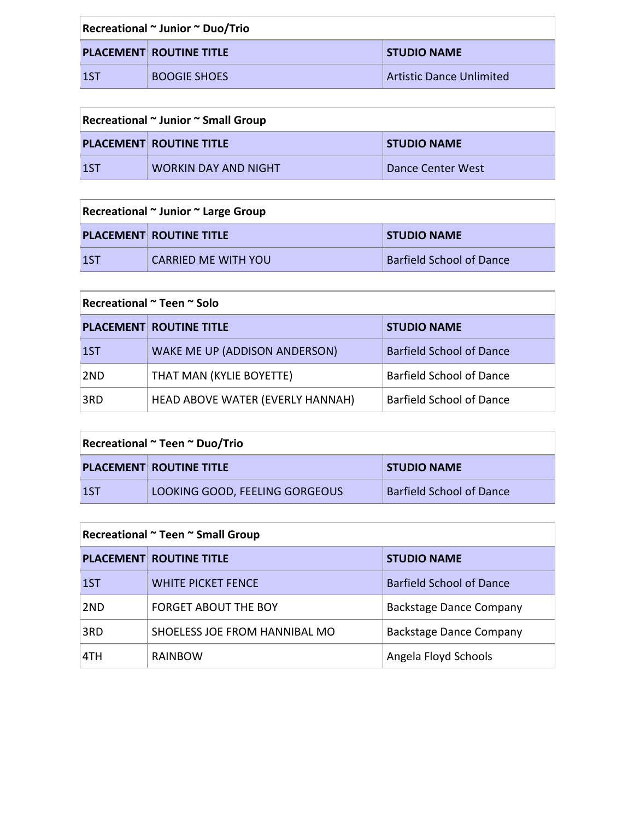| Recreational ~ Junior ~ Duo/Trio |                                |                                 |
|----------------------------------|--------------------------------|---------------------------------|
|                                  | <b>PLACEMENT ROUTINE TITLE</b> | <b>STUDIO NAME</b>              |
| <u> 1ST</u>                      | BOOGIE SHOES                   | <b>Artistic Dance Unlimited</b> |

| Recreational ~ Junior ~ Small Group |                                |                    |
|-------------------------------------|--------------------------------|--------------------|
|                                     | <b>PLACEMENT ROUTINE TITLE</b> | <b>STUDIO NAME</b> |
| $\overline{1}$                      | <b>WORKIN DAY AND NIGHT</b>    | Dance Center West  |

# **Recreational ~ Junior ~ Large Group**

|     | <b>PLACEMENT ROUTINE TITLE</b> | <b>STUDIO NAME</b>       |
|-----|--------------------------------|--------------------------|
| 15T | <b>CARRIED ME WITH YOU</b>     | Barfield School of Dance |

# **Recreational ~ Teen ~ Solo**

|                | <b>PLACEMENT ROUTINE TITLE</b>       | <b>STUDIO NAME</b>              |
|----------------|--------------------------------------|---------------------------------|
| $\overline{1}$ | <b>WAKE ME UP (ADDISON ANDERSON)</b> | <b>Barfield School of Dance</b> |
| 12ND           | THAT MAN (KYLIE BOYETTE)             | <b>Barfield School of Dance</b> |
| 3RD            | HEAD ABOVE WATER (EVERLY HANNAH)     | <b>Barfield School of Dance</b> |

| Recreational ~ Teen ~ Duo/Trio |                                |                                 |
|--------------------------------|--------------------------------|---------------------------------|
|                                | <b>PLACEMENT ROUTINE TITLE</b> | <b>STUDIO NAME</b>              |
| $\sf{1ST}$                     | LOOKING GOOD, FEELING GORGEOUS | <b>Barfield School of Dance</b> |

| Recreational ~ Teen ~ Small Group |                                |                                |
|-----------------------------------|--------------------------------|--------------------------------|
|                                   | <b>PLACEMENT ROUTINE TITLE</b> | <b>STUDIO NAME</b>             |
| 1ST                               | <b>WHITE PICKET FENCE</b>      | Barfield School of Dance       |
| 2 <sub>ND</sub>                   | <b>FORGET ABOUT THE BOY</b>    | <b>Backstage Dance Company</b> |
| 3RD                               | SHOELESS JOE FROM HANNIBAL MO  | <b>Backstage Dance Company</b> |
| 4TH                               | RAINBOW                        | Angela Floyd Schools           |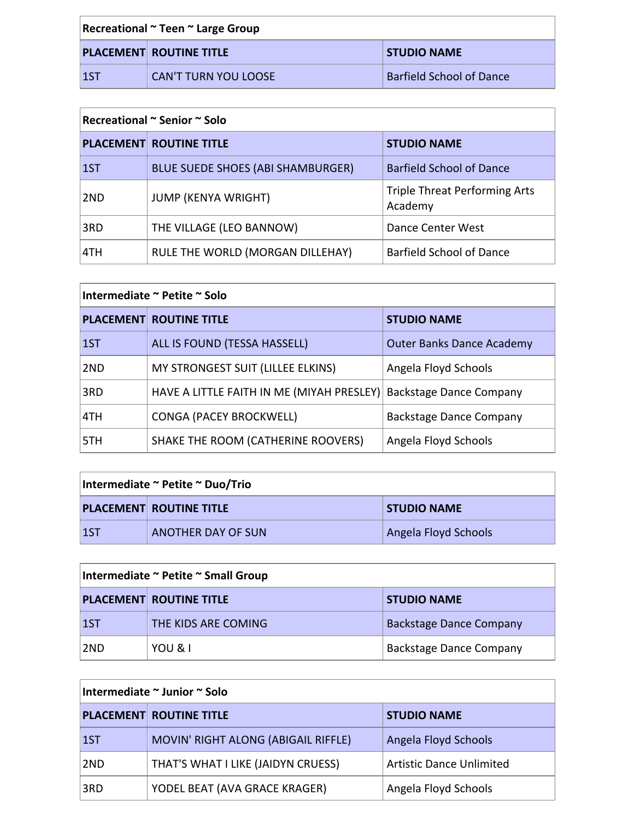| Recreational ~ Teen ~ Large Group |                                |                                 |
|-----------------------------------|--------------------------------|---------------------------------|
|                                   | <b>PLACEMENT ROUTINE TITLE</b> | <b>STUDIO NAME</b>              |
| $\overline{1}$                    | <b>CAN'T TURN YOU LOOSE</b>    | <b>Barfield School of Dance</b> |

#### **Recreational** ~ Senior ~ Solo

h

|     | <b>PLACEMENT ROUTINE TITLE</b>           | <b>STUDIO NAME</b>                              |
|-----|------------------------------------------|-------------------------------------------------|
| 1ST | <b>BLUE SUEDE SHOES (ABI SHAMBURGER)</b> | <b>Barfield School of Dance</b>                 |
| 2ND | <b>JUMP (KENYA WRIGHT)</b>               | <b>Triple Threat Performing Arts</b><br>Academy |
| 3RD | THE VILLAGE (LEO BANNOW)                 | Dance Center West                               |
| 4TH | RULE THE WORLD (MORGAN DILLEHAY)         | <b>Barfield School of Dance</b>                 |

| Intermediate ~ Petite ~ Solo |                                           |                                  |
|------------------------------|-------------------------------------------|----------------------------------|
|                              | <b>PLACEMENT ROUTINE TITLE</b>            | <b>STUDIO NAME</b>               |
| 1ST                          | ALL IS FOUND (TESSA HASSELL)              | <b>Outer Banks Dance Academy</b> |
| 2ND                          | MY STRONGEST SUIT (LILLEE ELKINS)         | Angela Floyd Schools             |
| 3RD                          | HAVE A LITTLE FAITH IN ME (MIYAH PRESLEY) | <b>Backstage Dance Company</b>   |
| 4TH                          | <b>CONGA (PACEY BROCKWELL)</b>            | <b>Backstage Dance Company</b>   |
| 5TH                          | SHAKE THE ROOM (CATHERINE ROOVERS)        | Angela Floyd Schools             |

| Intermediate ~ Petite ~ Duo/Trio |                                |                      |
|----------------------------------|--------------------------------|----------------------|
|                                  | <b>PLACEMENT ROUTINE TITLE</b> | <b>STUDIO NAME</b>   |
| l 1ST                            | <b>ANOTHER DAY OF SUN</b>      | Angela Floyd Schools |

| Intermediate ~ Petite ~ Small Group |                                |                                |
|-------------------------------------|--------------------------------|--------------------------------|
|                                     | <b>PLACEMENT ROUTINE TITLE</b> | <b>STUDIO NAME</b>             |
| $\vert$ 1ST                         | THE KIDS ARE COMING            | <b>Backstage Dance Company</b> |
| ∣2ND                                | YOU & I                        | <b>Backstage Dance Company</b> |

| Intermediate ~ Junior ~ Solo |                                     |                                 |
|------------------------------|-------------------------------------|---------------------------------|
|                              | <b>PLACEMENT ROUTINE TITLE</b>      | <b>STUDIO NAME</b>              |
| 1ST                          | MOVIN' RIGHT ALONG (ABIGAIL RIFFLE) | Angela Floyd Schools            |
| 2ND                          | THAT'S WHAT I LIKE (JAIDYN CRUESS)  | <b>Artistic Dance Unlimited</b> |
| 3RD                          | YODEL BEAT (AVA GRACE KRAGER)       | Angela Floyd Schools            |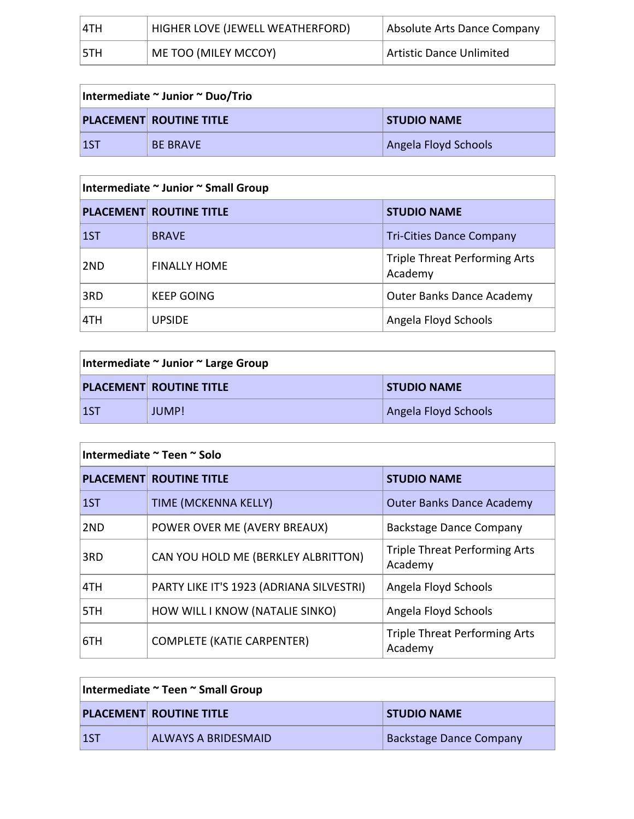| 14TH | HIGHER LOVE (JEWELL WEATHERFORD) | Absolute Arts Dance Company |
|------|----------------------------------|-----------------------------|
| 15TH | ME TOO (MILEY MCCOY)             | Artistic Dance Unlimited    |

| Intermediate ~ Junior ~ Duo/Trio |                                |                      |
|----------------------------------|--------------------------------|----------------------|
|                                  | <b>PLACEMENT ROUTINE TITLE</b> | <b>STUDIO NAME</b>   |
| $\overline{1}$                   | <b>BE BRAVE</b>                | Angela Floyd Schools |

## **Intermediate ~ Junior ~ Small Group**

|             | <b>PLACEMENT ROUTINE TITLE</b> | <b>STUDIO NAME</b>                              |
|-------------|--------------------------------|-------------------------------------------------|
| $\vert$ 1ST | <b>BRAVE</b>                   | <b>Tri-Cities Dance Company</b>                 |
| 2ND         | <b>FINALLY HOME</b>            | <b>Triple Threat Performing Arts</b><br>Academy |
| 3RD         | <b>KEEP GOING</b>              | <b>Outer Banks Dance Academy</b>                |
| 4TH         | <b>UPSIDE</b>                  | Angela Floyd Schools                            |

| Intermediate ~ Junior ~ Large Group |                                |                      |
|-------------------------------------|--------------------------------|----------------------|
|                                     | <b>PLACEMENT ROUTINE TITLE</b> | <b>STUDIO NAME</b>   |
| 1ST                                 | JUMP!                          | Angela Floyd Schools |

| Intermediate ~ Teen ~ Solo |                                          |                                                 |
|----------------------------|------------------------------------------|-------------------------------------------------|
|                            | <b>PLACEMENT ROUTINE TITLE</b>           | <b>STUDIO NAME</b>                              |
| 1ST                        | TIME (MCKENNA KELLY)                     | <b>Outer Banks Dance Academy</b>                |
| 2ND                        | POWER OVER ME (AVERY BREAUX)             | <b>Backstage Dance Company</b>                  |
| 3RD                        | CAN YOU HOLD ME (BERKLEY ALBRITTON)      | <b>Triple Threat Performing Arts</b><br>Academy |
| 4TH                        | PARTY LIKE IT'S 1923 (ADRIANA SILVESTRI) | Angela Floyd Schools                            |
| 5TH                        | HOW WILL I KNOW (NATALIE SINKO)          | Angela Floyd Schools                            |
| 6TH                        | <b>COMPLETE (KATIE CARPENTER)</b>        | <b>Triple Threat Performing Arts</b><br>Academy |

| Intermediate ~ Teen ~ Small Group |                                |                                |
|-----------------------------------|--------------------------------|--------------------------------|
|                                   | <b>PLACEMENT ROUTINE TITLE</b> | <b>STUDIO NAME</b>             |
| <b>1ST</b>                        | ALWAYS A BRIDESMAID            | <b>Backstage Dance Company</b> |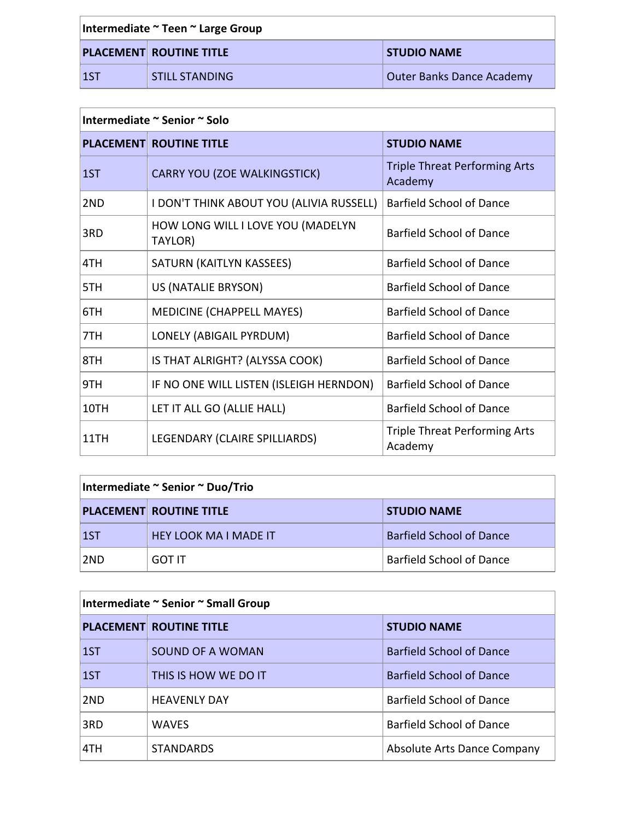| Intermediate ~ Teen ~ Large Group |                                |                           |
|-----------------------------------|--------------------------------|---------------------------|
|                                   | <b>PLACEMENT ROUTINE TITLE</b> | <b>STUDIO NAME</b>        |
| $\vert$ 1ST                       | STILL STANDING                 | Outer Banks Dance Academy |

| Intermediate ~ Senior ~ Solo |                                              |                                                 |
|------------------------------|----------------------------------------------|-------------------------------------------------|
|                              | <b>PLACEMENT ROUTINE TITLE</b>               | <b>STUDIO NAME</b>                              |
| 1ST                          | <b>CARRY YOU (ZOE WALKINGSTICK)</b>          | <b>Triple Threat Performing Arts</b><br>Academy |
| 2ND                          | I DON'T THINK ABOUT YOU (ALIVIA RUSSELL)     | <b>Barfield School of Dance</b>                 |
| 3RD                          | HOW LONG WILL I LOVE YOU (MADELYN<br>TAYLOR) | <b>Barfield School of Dance</b>                 |
| 4TH                          | SATURN (KAITLYN KASSEES)                     | <b>Barfield School of Dance</b>                 |
| 5TH                          | US (NATALIE BRYSON)                          | <b>Barfield School of Dance</b>                 |
| 6TH                          | <b>MEDICINE (CHAPPELL MAYES)</b>             | <b>Barfield School of Dance</b>                 |
| 7TH                          | LONELY (ABIGAIL PYRDUM)                      | <b>Barfield School of Dance</b>                 |
| 8TH                          | IS THAT ALRIGHT? (ALYSSA COOK)               | <b>Barfield School of Dance</b>                 |
| 9TH                          | IF NO ONE WILL LISTEN (ISLEIGH HERNDON)      | <b>Barfield School of Dance</b>                 |
| 10TH                         | LET IT ALL GO (ALLIE HALL)                   | <b>Barfield School of Dance</b>                 |
| 11TH                         | LEGENDARY (CLAIRE SPILLIARDS)                | <b>Triple Threat Performing Arts</b><br>Academy |

| Intermediate ~ Senior ~ Duo/Trio |                                |                                 |
|----------------------------------|--------------------------------|---------------------------------|
|                                  | <b>PLACEMENT ROUTINE TITLE</b> | <b>STUDIO NAME</b>              |
| $\vert$ 1ST                      | <b>HEY LOOK MA I MADE IT</b>   | <b>Barfield School of Dance</b> |
| ∣2ND                             | GOT IT                         | <b>Barfield School of Dance</b> |

## **Intermediate ~ Senior ~ Small Group**

|       | <b>PLACEMENT ROUTINE TITLE</b> | <b>STUDIO NAME</b>              |
|-------|--------------------------------|---------------------------------|
| l 1ST | SOUND OF A WOMAN               | <b>Barfield School of Dance</b> |
| 1ST   | THIS IS HOW WE DO IT           | <b>Barfield School of Dance</b> |
| 2ND   | <b>HEAVENLY DAY</b>            | <b>Barfield School of Dance</b> |
| 3RD   | <b>WAVES</b>                   | Barfield School of Dance        |
| 4TH   | <b>STANDARDS</b>               | Absolute Arts Dance Company     |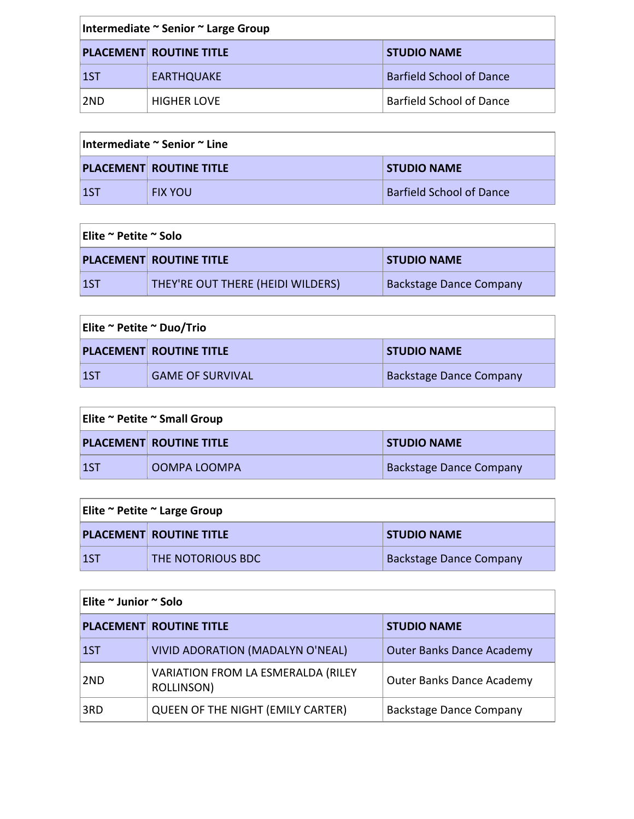| Intermediate ~ Senior ~ Large Group |                                |                                 |
|-------------------------------------|--------------------------------|---------------------------------|
|                                     | <b>PLACEMENT ROUTINE TITLE</b> | <b>STUDIO NAME</b>              |
| $\vert$ 1ST                         | <b>EARTHQUAKE</b>              | <b>Barfield School of Dance</b> |
| ∣2ND                                | <b>HIGHER LOVE</b>             | <b>Barfield School of Dance</b> |

| Intermediate ~ Senior ~ Line                         |                |                                 |
|------------------------------------------------------|----------------|---------------------------------|
| <b>PLACEMENT ROUTINE TITLE</b><br><b>STUDIO NAME</b> |                |                                 |
|                                                      | <b>FIX YOU</b> | <b>Barfield School of Dance</b> |

| Elite ~ Petite ~ Solo |                                   |                         |
|-----------------------|-----------------------------------|-------------------------|
|                       | <b>PLACEMENT ROUTINE TITLE</b>    | <b>STUDIO NAME</b>      |
| l 1ST                 | THEY'RE OUT THERE (HEIDI WILDERS) | Backstage Dance Company |

| Elite ~ Petite ~ Duo/Trio |                                |                                |
|---------------------------|--------------------------------|--------------------------------|
|                           | <b>PLACEMENT ROUTINE TITLE</b> | <b>STUDIO NAME</b>             |
| 1ST                       | <b>GAME OF SURVIVAL</b>        | <b>Backstage Dance Company</b> |

| Elite ~ Petite ~ Small Group |                                |                                |
|------------------------------|--------------------------------|--------------------------------|
|                              | <b>PLACEMENT ROUTINE TITLE</b> | <b>STUDIO NAME</b>             |
| $\overline{1}$               | OOMPA LOOMPA                   | <b>Backstage Dance Company</b> |

| Elite ~ Petite ~ Large Group |                                |                                |
|------------------------------|--------------------------------|--------------------------------|
|                              | <b>PLACEMENT ROUTINE TITLE</b> | <b>STUDIO NAME</b>             |
| l 1ST                        | <b>THE NOTORIOUS BDC</b>       | <b>Backstage Dance Company</b> |

| Elite ~ Junior ~ Solo |                                                         |                                  |
|-----------------------|---------------------------------------------------------|----------------------------------|
|                       | <b>PLACEMENT ROUTINE TITLE</b>                          | <b>STUDIO NAME</b>               |
| $\vert$ 1ST           | <b>VIVID ADORATION (MADALYN O'NEAL)</b>                 | <b>Outer Banks Dance Academy</b> |
| 2ND                   | <b>VARIATION FROM LA ESMERALDA (RILEY</b><br>ROLLINSON) | <b>Outer Banks Dance Academy</b> |
| 3RD                   | QUEEN OF THE NIGHT (EMILY CARTER)                       | <b>Backstage Dance Company</b>   |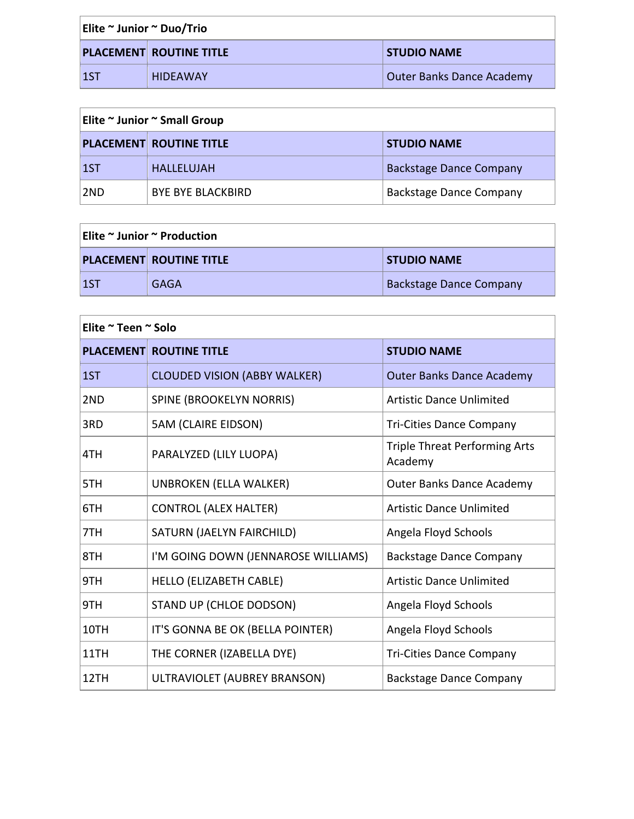| Elite $\sim$ Junior $\sim$ Duo/Trio |  |                                |                           |
|-------------------------------------|--|--------------------------------|---------------------------|
|                                     |  | <b>PLACEMENT ROUTINE TITLE</b> | <b>STUDIO NAME</b>        |
| l 1ST                               |  | <b>HIDEAWAY</b>                | Outer Banks Dance Academy |

| Elite ~ Junior ~ Small Group |                                |                                |
|------------------------------|--------------------------------|--------------------------------|
|                              | <b>PLACEMENT ROUTINE TITLE</b> | <b>STUDIO NAME</b>             |
| 1ST                          | <b>HALLELUJAH</b>              | <b>Backstage Dance Company</b> |
| 2ND                          | <b>BYE BYE BLACKBIRD</b>       | <b>Backstage Dance Company</b> |

| $ $ Elite $\sim$ Junior $\sim$ Production |                                |                                |
|-------------------------------------------|--------------------------------|--------------------------------|
|                                           | <b>PLACEMENT ROUTINE TITLE</b> | <b>STUDIO NAME</b>             |
| $\overline{1}$                            | GAGA                           | <b>Backstage Dance Company</b> |

| Elite ~ Teen ~ Solo |                                                              |                                                 |  |
|---------------------|--------------------------------------------------------------|-------------------------------------------------|--|
|                     | <b>PLACEMENT ROUTINE TITLE</b>                               | <b>STUDIO NAME</b>                              |  |
| 1ST                 | <b>CLOUDED VISION (ABBY WALKER)</b>                          | <b>Outer Banks Dance Academy</b>                |  |
| 2ND                 | <b>SPINE (BROOKELYN NORRIS)</b>                              | <b>Artistic Dance Unlimited</b>                 |  |
| 3RD                 | 5AM (CLAIRE EIDSON)                                          | <b>Tri-Cities Dance Company</b>                 |  |
| 4TH                 | PARALYZED (LILY LUOPA)                                       | <b>Triple Threat Performing Arts</b><br>Academy |  |
| 5TH                 | <b>UNBROKEN (ELLA WALKER)</b>                                | <b>Outer Banks Dance Academy</b>                |  |
| 6TH                 | <b>CONTROL (ALEX HALTER)</b>                                 | <b>Artistic Dance Unlimited</b>                 |  |
| 7TH                 | SATURN (JAELYN FAIRCHILD)                                    | Angela Floyd Schools                            |  |
| 8TH                 | I'M GOING DOWN (JENNAROSE WILLIAMS)                          | <b>Backstage Dance Company</b>                  |  |
| 9TH                 | HELLO (ELIZABETH CABLE)                                      | <b>Artistic Dance Unlimited</b>                 |  |
| 9TH                 | STAND UP (CHLOE DODSON)                                      | Angela Floyd Schools                            |  |
| 10TH                | IT'S GONNA BE OK (BELLA POINTER)                             | Angela Floyd Schools                            |  |
| 11TH                | THE CORNER (IZABELLA DYE)<br><b>Tri-Cities Dance Company</b> |                                                 |  |
| 12TH                | ULTRAVIOLET (AUBREY BRANSON)                                 | Backstage Dance Company                         |  |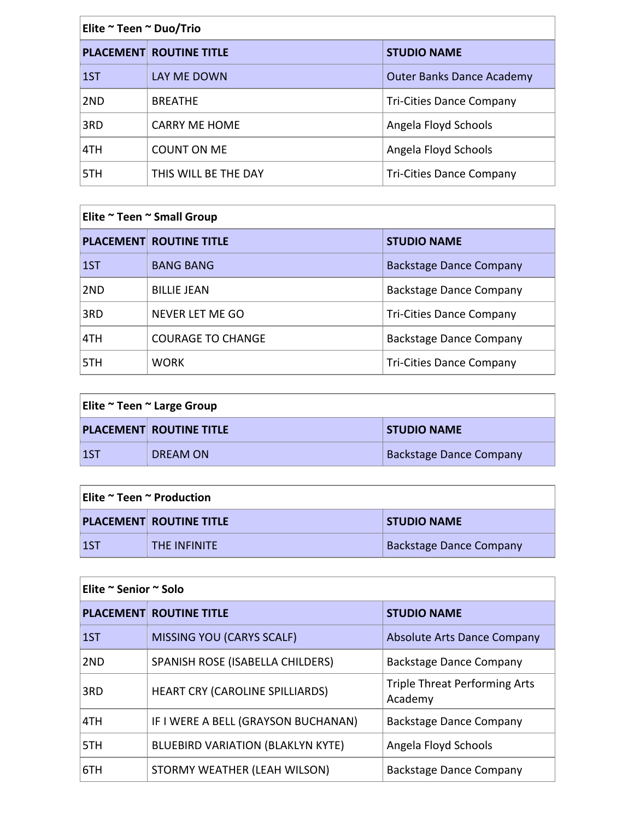| Elite ~ Teen ~ Duo/Trio |                                |                                  |
|-------------------------|--------------------------------|----------------------------------|
|                         | <b>PLACEMENT ROUTINE TITLE</b> | <b>STUDIO NAME</b>               |
| 1ST                     | LAY ME DOWN                    | <b>Outer Banks Dance Academy</b> |
| 2ND                     | <b>BREATHE</b>                 | <b>Tri-Cities Dance Company</b>  |
| 3RD                     | <b>CARRY ME HOME</b>           | Angela Floyd Schools             |
| 4TH                     | <b>COUNT ON ME</b>             | Angela Floyd Schools             |
| 5TH                     | THIS WILL BE THE DAY           | <b>Tri-Cities Dance Company</b>  |

| Elite ~ Teen ~ Small Group |                                |                                 |  |
|----------------------------|--------------------------------|---------------------------------|--|
|                            | <b>PLACEMENT ROUTINE TITLE</b> | <b>STUDIO NAME</b>              |  |
| $\vert 1ST \vert$          | <b>BANG BANG</b>               | <b>Backstage Dance Company</b>  |  |
| 2ND                        | <b>BILLIE JEAN</b>             | <b>Backstage Dance Company</b>  |  |
| 3RD                        | NEVER LET ME GO                | <b>Tri-Cities Dance Company</b> |  |
| 4TH                        | <b>COURAGE TO CHANGE</b>       | <b>Backstage Dance Company</b>  |  |
| 5TH.                       | <b>WORK</b>                    | <b>Tri-Cities Dance Company</b> |  |

| Elite ~ Teen ~ Large Group |                                |                                |
|----------------------------|--------------------------------|--------------------------------|
|                            | <b>PLACEMENT ROUTINE TITLE</b> | <b>STUDIO NAME</b>             |
| l 1ST                      | DREAM ON                       | <b>Backstage Dance Company</b> |

| $ $ Elite ${}^{\thicksim}$ Teen ${}^{\thicksim}$ Production |                                |                                |
|-------------------------------------------------------------|--------------------------------|--------------------------------|
|                                                             | <b>PLACEMENT ROUTINE TITLE</b> | <b>STUDIO NAME</b>             |
| $\vert$ 1ST                                                 | <b>THE INFINITE</b>            | <b>Backstage Dance Company</b> |

| Elite ~ Senior ~ Solo |                                          |                                                 |
|-----------------------|------------------------------------------|-------------------------------------------------|
|                       | <b>PLACEMENT ROUTINE TITLE</b>           | <b>STUDIO NAME</b>                              |
| 1ST                   | <b>MISSING YOU (CARYS SCALF)</b>         | <b>Absolute Arts Dance Company</b>              |
| 2ND                   | SPANISH ROSE (ISABELLA CHILDERS)         | <b>Backstage Dance Company</b>                  |
| 3RD                   | HEART CRY (CAROLINE SPILLIARDS)          | <b>Triple Threat Performing Arts</b><br>Academy |
| 4TH                   | IF I WERE A BELL (GRAYSON BUCHANAN)      | <b>Backstage Dance Company</b>                  |
| 5TH                   | <b>BLUEBIRD VARIATION (BLAKLYN KYTE)</b> | Angela Floyd Schools                            |
| 6TH                   | STORMY WEATHER (LEAH WILSON)             | <b>Backstage Dance Company</b>                  |